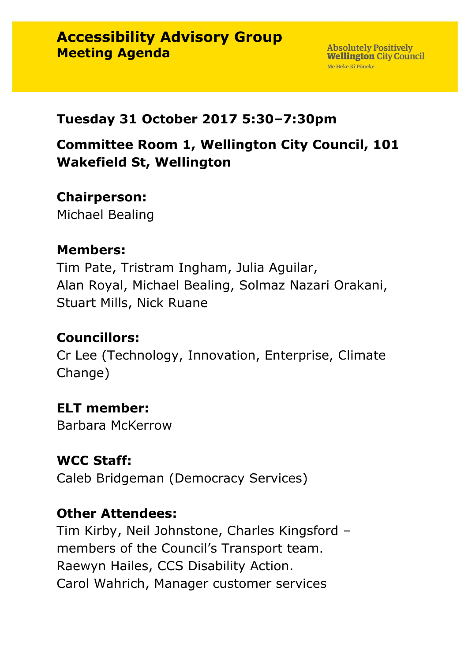#### **Tuesday 31 October 2017 5:30–7:30pm**

**Committee Room 1, Wellington City Council, 101 Wakefield St, Wellington**

### **Chairperson:**

Michael Bealing

#### **Members:**

Tim Pate, Tristram Ingham, Julia Aguilar, Alan Royal, Michael Bealing, Solmaz Nazari Orakani, Stuart Mills, Nick Ruane

## **Councillors:**

Cr Lee (Technology, Innovation, Enterprise, Climate Change)

#### **ELT member:**

Barbara McKerrow

#### **WCC Staff:**

Caleb Bridgeman (Democracy Services)

#### **Other Attendees:**

Tim Kirby, Neil Johnstone, Charles Kingsford – members of the Council's Transport team. Raewyn Hailes, CCS Disability Action. Carol Wahrich, Manager customer services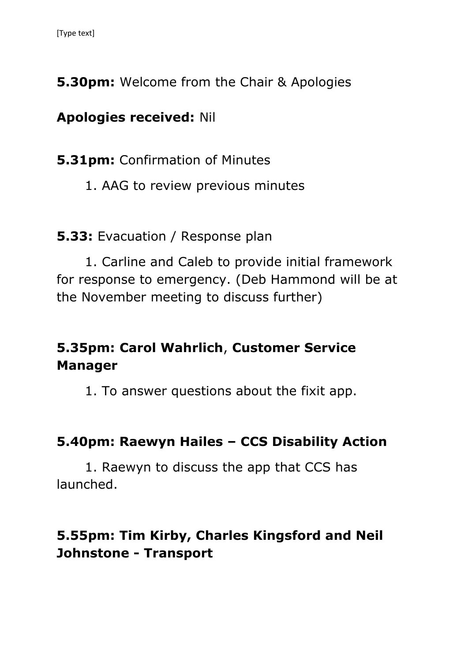**5.30pm:** Welcome from the Chair & Apologies

## **Apologies received:** Nil

**5.31pm: Confirmation of Minutes** 

1. AAG to review previous minutes

**5.33:** Evacuation / Response plan

1. Carline and Caleb to provide initial framework for response to emergency. (Deb Hammond will be at the November meeting to discuss further)

# **5.35pm: Carol Wahrlich**, **Customer Service Manager**

1. To answer questions about the fixit app.

## **5.40pm: Raewyn Hailes – CCS Disability Action**

1. Raewyn to discuss the app that CCS has launched.

# **5.55pm: Tim Kirby, Charles Kingsford and Neil Johnstone - Transport**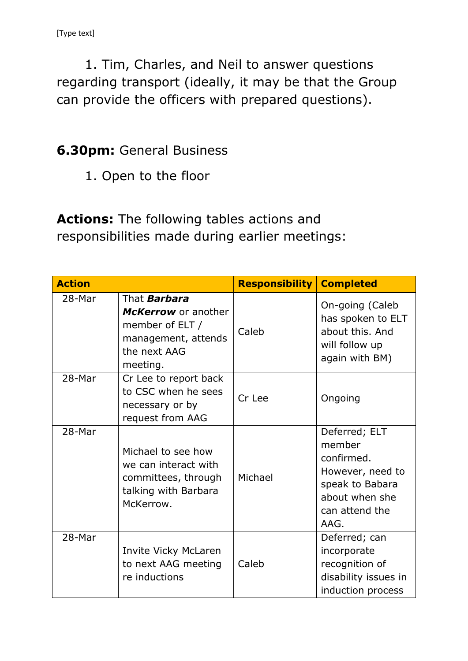1. Tim, Charles, and Neil to answer questions regarding transport (ideally, it may be that the Group can provide the officers with prepared questions).

## **6.30pm:** General Business

1. Open to the floor

**Actions:** The following tables actions and responsibilities made during earlier meetings:

| <b>Action</b> |                                                                                                                  | <b>Responsibility</b> | <b>Completed</b>                                                                                                         |
|---------------|------------------------------------------------------------------------------------------------------------------|-----------------------|--------------------------------------------------------------------------------------------------------------------------|
| 28-Mar        | That <b>Barbara</b><br>McKerrow or another<br>member of ELT /<br>management, attends<br>the next AAG<br>meeting. | Caleb                 | On-going (Caleb<br>has spoken to ELT<br>about this, And<br>will follow up<br>again with BM)                              |
| 28-Mar        | Cr Lee to report back<br>to CSC when he sees<br>necessary or by<br>request from AAG                              | Cr Lee                | Ongoing                                                                                                                  |
| 28-Mar        | Michael to see how<br>we can interact with<br>committees, through<br>talking with Barbara<br>McKerrow.           | Michael               | Deferred; ELT<br>member<br>confirmed.<br>However, need to<br>speak to Babara<br>about when she<br>can attend the<br>AAG. |
| 28-Mar        | Invite Vicky McLaren<br>to next AAG meeting<br>re inductions                                                     | Caleb                 | Deferred; can<br>incorporate<br>recognition of<br>disability issues in<br>induction process                              |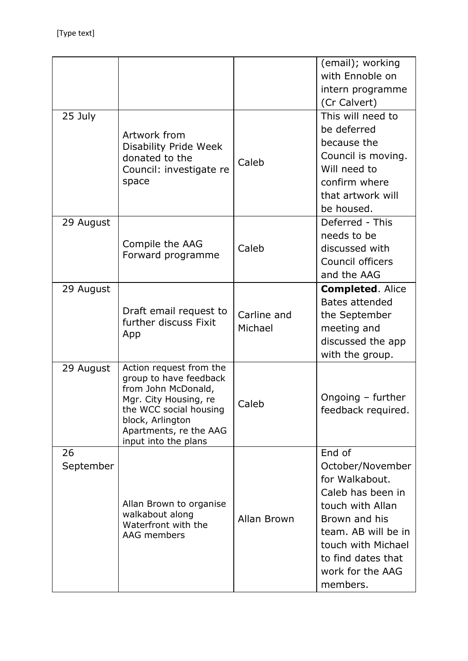|                 |                                                                                                                                                                                                   |                        | (email); working<br>with Ennoble on<br>intern programme<br>(Cr Calvert)                                                                                                                                   |
|-----------------|---------------------------------------------------------------------------------------------------------------------------------------------------------------------------------------------------|------------------------|-----------------------------------------------------------------------------------------------------------------------------------------------------------------------------------------------------------|
| 25 July         | Artwork from<br><b>Disability Pride Week</b><br>donated to the<br>Council: investigate re<br>space                                                                                                | Caleb                  | This will need to<br>be deferred<br>because the<br>Council is moving.<br>Will need to<br>confirm where<br>that artwork will<br>be housed.                                                                 |
| 29 August       | Compile the AAG<br>Forward programme                                                                                                                                                              | Caleb                  | Deferred - This<br>needs to be<br>discussed with<br>Council officers<br>and the AAG                                                                                                                       |
| 29 August       | Draft email request to<br>further discuss Fixit<br>App                                                                                                                                            | Carline and<br>Michael | <b>Completed. Alice</b><br><b>Bates attended</b><br>the September<br>meeting and<br>discussed the app<br>with the group.                                                                                  |
| 29 August       | Action request from the<br>group to have feedback<br>from John McDonald,<br>Mgr. City Housing, re<br>the WCC social housing<br>block, Arlington<br>Apartments, re the AAG<br>input into the plans | Caleb                  | Ongoing - further<br>feedback required.                                                                                                                                                                   |
| 26<br>September | Allan Brown to organise<br>walkabout along<br>Waterfront with the<br>AAG members                                                                                                                  | Allan Brown            | End of<br>October/November<br>for Walkabout.<br>Caleb has been in<br>touch with Allan<br>Brown and his<br>team. AB will be in<br>touch with Michael<br>to find dates that<br>work for the AAG<br>members. |